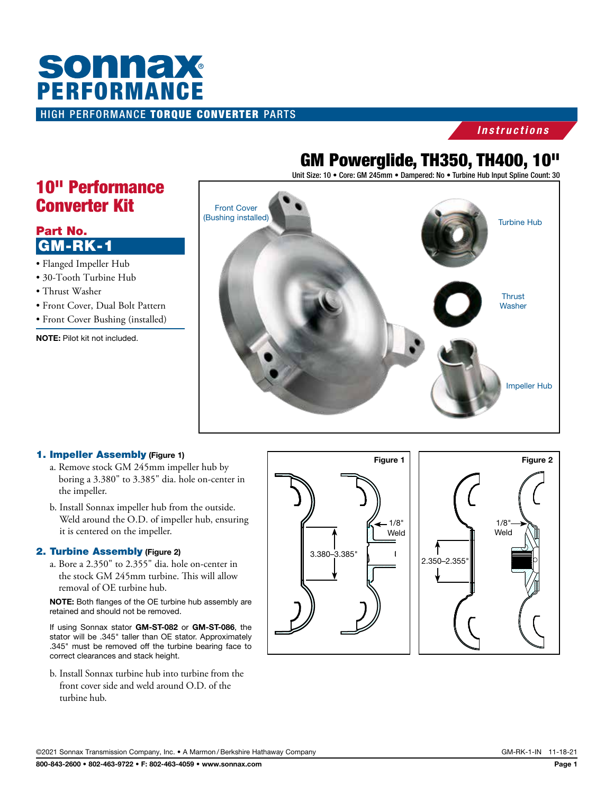# HIGH PERFORMANCE TORQUE CONVERTER PARTS **SONNAX**<br>PERFORMANCE

### *Instructions*

## GM Powerglide, TH350, TH400, 10"

Unit Size: 10 · Core: GM 245mm · Dampered: No · Turbine Hub Input Spline Count: 30



### Part No. GM-RK-1

- Flanged Impeller Hub
- 30-Tooth Turbine Hub
- Thrust Washer
- Front Cover, Dual Bolt Pattern
- Front Cover Bushing (installed)

NOTE: Pilot kit not included.



### 1. Impeller Assembly (Figure 1)

- a. Remove stock GM 245mm impeller hub by boring a 3.380" to 3.385" dia. hole on-center in the impeller.
- b. Install Sonnax impeller hub from the outside. Weld around the O.D. of impeller hub, ensuring it is centered on the impeller.

### 2. Turbine Assembly (Figure 2)

a. Bore a 2.350" to 2.355" dia. hole on-center in the stock GM 245mm turbine. This will allow removal of OE turbine hub.

NOTE: Both flanges of the OE turbine hub assembly are retained and should not be removed.

If using Sonnax stator GM-ST-082 or GM-ST-086, the stator will be .345" taller than OE stator. Approximately .345" must be removed off the turbine bearing face to correct clearances and stack height.

b. Install Sonnax turbine hub into turbine from the front cover side and weld around O.D. of the turbine hub.